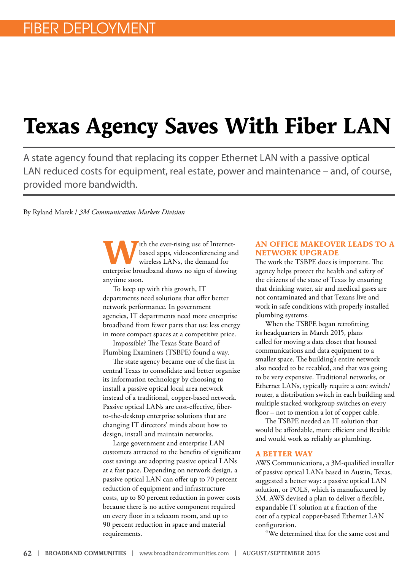## **Texas Agency Saves With Fiber LAN**

A state agency found that replacing its copper Ethernet LAN with a passive optical LAN reduced costs for equipment, real estate, power and maintenance – and, of course, provided more bandwidth.

By Ryland Marek / *3M Communication Markets Division*

with the ever-rising use of Internet-<br>based apps, videoconferencing an wireless LANs, the demand for based apps, videoconferencing and wireless LANs, the demand for enterprise broadband shows no sign of slowing anytime soon.

To keep up with this growth, IT departments need solutions that offer better network performance. In government agencies, IT departments need more enterprise broadband from fewer parts that use less energy in more compact spaces at a competitive price.

Impossible? The Texas State Board of Plumbing Examiners (TSBPE) found a way.

The state agency became one of the first in central Texas to consolidate and better organize its information technology by choosing to install a passive optical local area network instead of a traditional, copper-based network. Passive optical LANs are cost-effective, fiberto-the-desktop enterprise solutions that are changing IT directors' minds about how to design, install and maintain networks.

Large government and enterprise LAN customers attracted to the benefits of significant cost savings are adopting passive optical LANs at a fast pace. Depending on network design, a passive optical LAN can offer up to 70 percent reduction of equipment and infrastructure costs, up to 80 percent reduction in power costs because there is no active component required on every floor in a telecom room, and up to 90 percent reduction in space and material requirements.

## **AN OFFICE MAKEOVER LEADS TO A NETWORK UPGRADE**

The work the TSBPE does is important. The agency helps protect the health and safety of the citizens of the state of Texas by ensuring that drinking water, air and medical gases are not contaminated and that Texans live and work in safe conditions with properly installed plumbing systems.

When the TSBPE began retrofitting its headquarters in March 2015, plans called for moving a data closet that housed communications and data equipment to a smaller space. The building's entire network also needed to be recabled, and that was going to be very expensive. Traditional networks, or Ethernet LANs, typically require a core switch/ router, a distribution switch in each building and multiple stacked workgroup switches on every floor – not to mention a lot of copper cable.

The TSBPE needed an IT solution that would be affordable, more efficient and flexible and would work as reliably as plumbing.

## **A BETTER WAY**

AWS Communications, a 3M-qualified installer of passive optical LANs based in Austin, Texas, suggested a better way: a passive optical LAN solution, or POLS, which is manufactured by 3M. AWS devised a plan to deliver a flexible, expandable IT solution at a fraction of the cost of a typical copper-based Ethernet LAN configuration.

"We determined that for the same cost and